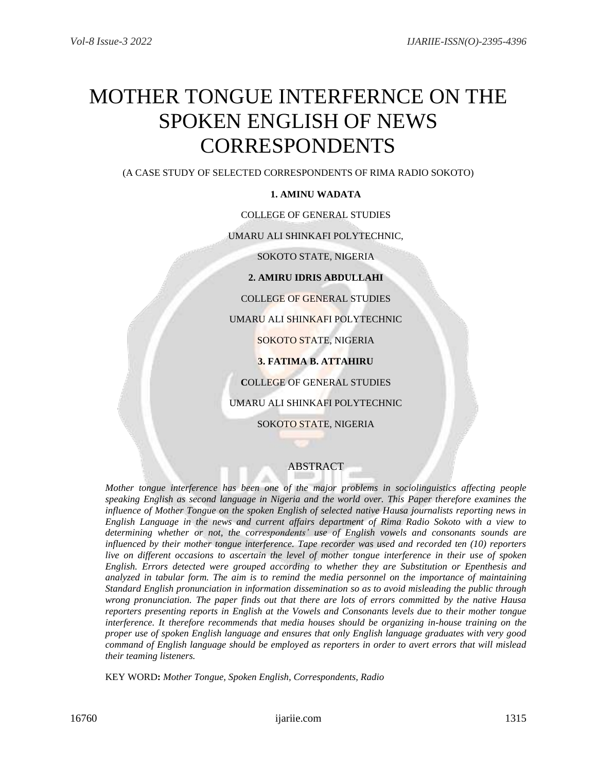# MOTHER TONGUE INTERFERNCE ON THE SPOKEN ENGLISH OF NEWS CORRESPONDENTS

(A CASE STUDY OF SELECTED CORRESPONDENTS OF RIMA RADIO SOKOTO)

## **1. AMINU WADATA**

## COLLEGE OF GENERAL STUDIES

UMARU ALI SHINKAFI POLYTECHNIC,

SOKOTO STATE, NIGERIA

**2. AMIRU IDRIS ABDULLAHI**

COLLEGE OF GENERAL STUDIES

UMARU ALI SHINKAFI POLYTECHNIC

SOKOTO STATE, NIGERIA

**3. FATIMA B. ATTAHIRU**

**C**OLLEGE OF GENERAL STUDIES

UMARU ALI SHINKAFI POLYTECHNIC

SOKOTO STATE, NIGERIA

## ABSTRACT

*Mother tongue interference has been one of the major problems in sociolinguistics affecting people speaking English as second language in Nigeria and the world over. This Paper therefore examines the influence of Mother Tongue on the spoken English of selected native Hausa journalists reporting news in English Language in the news and current affairs department of Rima Radio Sokoto with a view to determining whether or not, the correspondents' use of English vowels and consonants sounds are influenced by their mother tongue interference. Tape recorder was used and recorded ten (10) reporters live on different occasions to ascertain the level of mother tongue interference in their use of spoken English. Errors detected were grouped according to whether they are Substitution or Epenthesis and analyzed in tabular form. The aim is to remind the media personnel on the importance of maintaining Standard English pronunciation in information dissemination so as to avoid misleading the public through wrong pronunciation. The paper finds out that there are lots of errors committed by the native Hausa reporters presenting reports in English at the Vowels and Consonants levels due to their mother tongue interference. It therefore recommends that media houses should be organizing in-house training on the proper use of spoken English language and ensures that only English language graduates with very good command of English language should be employed as reporters in order to avert errors that will mislead their teaming listeners.*

KEY WORD**:** *Mother Tongue, Spoken English, Correspondents, Radio*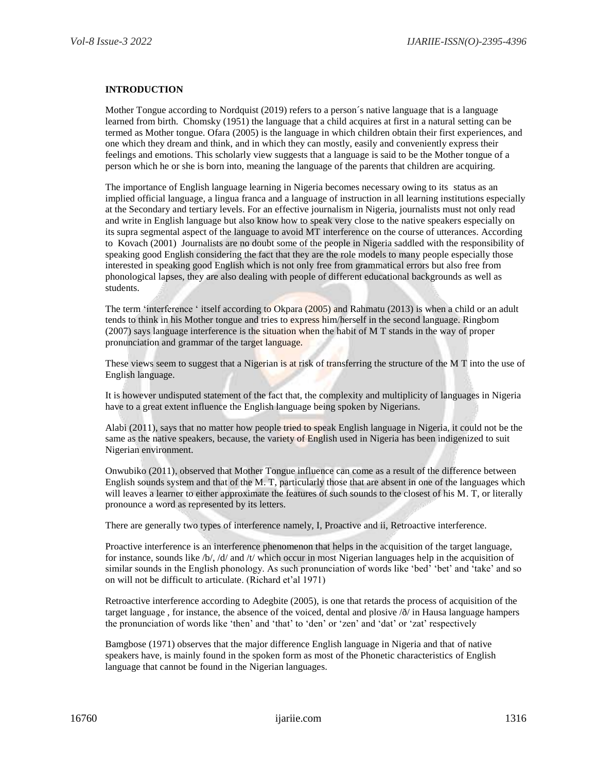#### **INTRODUCTION**

Mother Tongue according to Nordquist (2019) refers to a person´s native language that is a language learned from birth. Chomsky (1951) the language that a child acquires at first in a natural setting can be termed as Mother tongue. Ofara (2005) is the language in which children obtain their first experiences, and one which they dream and think, and in which they can mostly, easily and conveniently express their feelings and emotions. This scholarly view suggests that a language is said to be the Mother tongue of a person which he or she is born into, meaning the language of the parents that children are acquiring.

The importance of English language learning in Nigeria becomes necessary owing to its status as an implied official language, a lingua franca and a language of instruction in all learning institutions especially at the Secondary and tertiary levels. For an effective journalism in Nigeria, journalists must not only read and write in English language but also know how to speak very close to the native speakers especially on its supra segmental aspect of the language to avoid MT interference on the course of utterances. According to Kovach (2001) Journalists are no doubt some of the people in Nigeria saddled with the responsibility of speaking good English considering the fact that they are the role models to many people especially those interested in speaking good English which is not only free from grammatical errors but also free from phonological lapses, they are also dealing with people of different educational backgrounds as well as students.

The term 'interference ' itself according to Okpara (2005) and Rahmatu (2013) is when a child or an adult tends to think in his Mother tongue and tries to express him/herself in the second language. Ringbom (2007) says language interference is the situation when the habit of M T stands in the way of proper pronunciation and grammar of the target language.

These views seem to suggest that a Nigerian is at risk of transferring the structure of the M T into the use of English language.

It is however undisputed statement of the fact that, the complexity and multiplicity of languages in Nigeria have to a great extent influence the English language being spoken by Nigerians.

Alabi (2011), says that no matter how people tried to speak English language in Nigeria, it could not be the same as the native speakers, because, the variety of English used in Nigeria has been indigenized to suit Nigerian environment.

Onwubiko (2011), observed that Mother Tongue influence can come as a result of the difference between English sounds system and that of the M. T, particularly those that are absent in one of the languages which will leaves a learner to either approximate the features of such sounds to the closest of his M. T, or literally pronounce a word as represented by its letters.

There are generally two types of interference namely, I, Proactive and ii, Retroactive interference.

Proactive interference is an interference phenomenon that helps in the acquisition of the target language, for instance, sounds like /b/, /d/ and /t/ which occur in most Nigerian languages help in the acquisition of similar sounds in the English phonology. As such pronunciation of words like 'bed' 'bet' and 'take' and so on will not be difficult to articulate. (Richard et'al 1971)

Retroactive interference according to Adegbite (2005), is one that retards the process of acquisition of the target language , for instance, the absence of the voiced, dental and plosive /ð/ in Hausa language hampers the pronunciation of words like 'then' and 'that' to 'den' or 'zen' and 'dat' or 'zat' respectively

Bamgbose (1971) observes that the major difference English language in Nigeria and that of native speakers have, is mainly found in the spoken form as most of the Phonetic characteristics of English language that cannot be found in the Nigerian languages.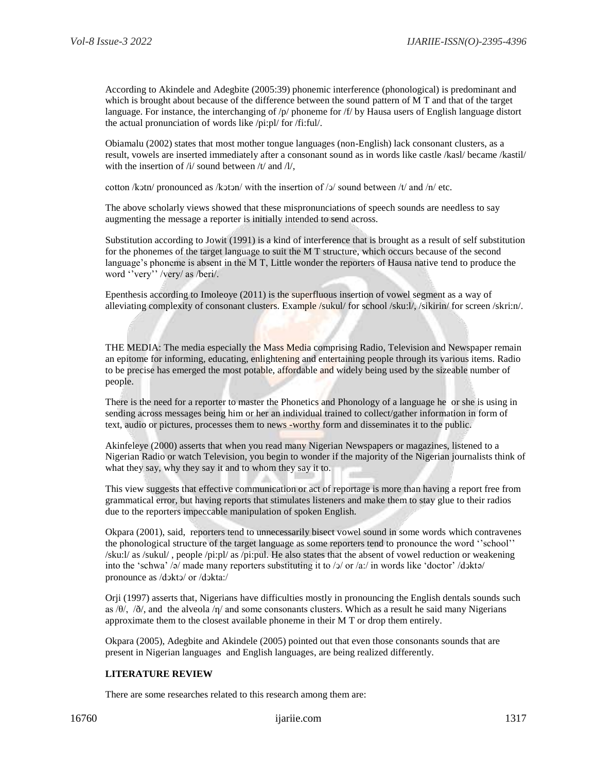According to Akindele and Adegbite (2005:39) phonemic interference (phonological) is predominant and which is brought about because of the difference between the sound pattern of M T and that of the target language. For instance, the interchanging of /p/ phoneme for /f/ by Hausa users of English language distort the actual pronunciation of words like /pi:pl/ for /fi:ful/.

Obiamalu (2002) states that most mother tongue languages (non-English) lack consonant clusters, as a result, vowels are inserted immediately after a consonant sound as in words like castle /kasl/ became /kastil/ with the insertion of  $\frac{1}{2}$  sound between  $\frac{1}{\sqrt{2}}$  and  $\frac{1}{\sqrt{2}}$ ,

cotton /kɔtn/ pronounced as /kɔtɔn/ with the insertion of /ɔ/ sound between /t/ and /n/ etc.

The above scholarly views showed that these mispronunciations of speech sounds are needless to say augmenting the message a reporter is initially intended to send across.

Substitution according to Jowit (1991) is a kind of interference that is brought as a result of self substitution for the phonemes of the target language to suit the M T structure, which occurs because of the second language's phoneme is absent in the M T, Little wonder the reporters of Hausa native tend to produce the word ''very'' /very/ as /beri/.

Epenthesis according to Imoleoye (2011) is the superfluous insertion of vowel segment as a way of alleviating complexity of consonant clusters. Example /sukul/ for school /sku:l/, /sikirin/ for screen /skri:n/.

THE MEDIA: The media especially the Mass Media comprising Radio, Television and Newspaper remain an epitome for informing, educating, enlightening and entertaining people through its various items. Radio to be precise has emerged the most potable, affordable and widely being used by the sizeable number of people.

There is the need for a reporter to master the Phonetics and Phonology of a language he or she is using in sending across messages being him or her an individual trained to collect/gather information in form of text, audio or pictures, processes them to news -worthy form and disseminates it to the public.

Akinfeleye (2000) asserts that when you read many Nigerian Newspapers or magazines, listened to a Nigerian Radio or watch Television, you begin to wonder if the majority of the Nigerian journalists think of what they say, why they say it and to whom they say it to.

This view suggests that effective communication or act of reportage is more than having a report free from grammatical error, but having reports that stimulates listeners and make them to stay glue to their radios due to the reporters impeccable manipulation of spoken English.

Okpara (2001), said, reporters tend to unnecessarily bisect vowel sound in some words which contravenes the phonological structure of the target language as some reporters tend to pronounce the word ''school'' /sku:l/ as /sukul/ , people /pi:pl/ as /pi:pul. He also states that the absent of vowel reduction or weakening into the 'schwa' /ə/ made many reporters substituting it to /ə/ or /a:/ in words like 'doctor' /dɔktə/ pronounce as /dͻktͻ/ or /dͻkta:/

Orji (1997) asserts that, Nigerians have difficulties mostly in pronouncing the English dentals sounds such as / $\theta$ /, / $\delta$ /, and the alveola / $\eta$ / and some consonants clusters. Which as a result he said many Nigerians approximate them to the closest available phoneme in their M T or drop them entirely.

Okpara (2005), Adegbite and Akindele (2005) pointed out that even those consonants sounds that are present in Nigerian languages and English languages, are being realized differently.

#### **LITERATURE REVIEW**

There are some researches related to this research among them are: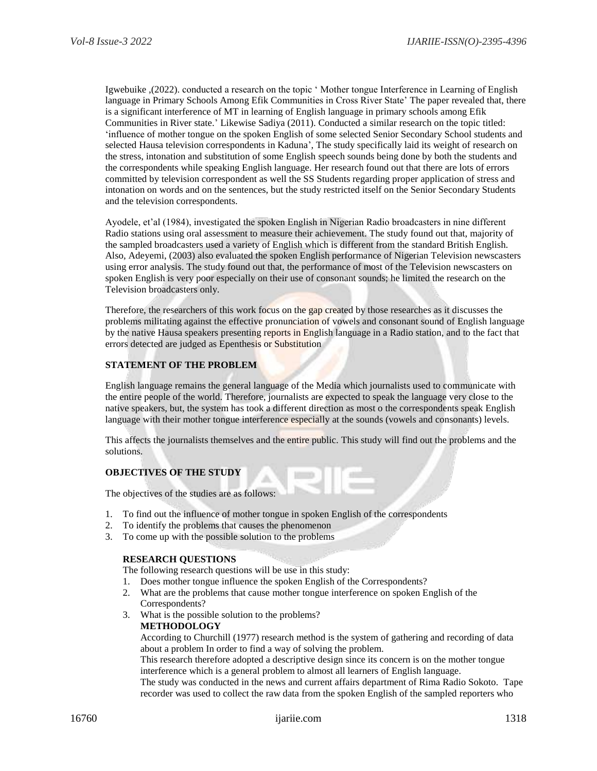Igwebuike ,(2022). conducted a research on the topic ' Mother tongue Interference in Learning of English language in Primary Schools Among Efik Communities in Cross River State' The paper revealed that, there is a significant interference of MT in learning of English language in primary schools among Efik Communities in River state.' Likewise Sadiya (2011). Conducted a similar research on the topic titled: 'influence of mother tongue on the spoken English of some selected Senior Secondary School students and selected Hausa television correspondents in Kaduna', The study specifically laid its weight of research on the stress, intonation and substitution of some English speech sounds being done by both the students and the correspondents while speaking English language. Her research found out that there are lots of errors committed by television correspondent as well the SS Students regarding proper application of stress and intonation on words and on the sentences, but the study restricted itself on the Senior Secondary Students and the television correspondents.

Ayodele, et'al (1984), investigated the spoken English in Nigerian Radio broadcasters in nine different Radio stations using oral assessment to measure their achievement. The study found out that, majority of the sampled broadcasters used a variety of English which is different from the standard British English. Also, Adeyemi, (2003) also evaluated the spoken English performance of Nigerian Television newscasters using error analysis. The study found out that, the performance of most of the Television newscasters on spoken English is very poor especially on their use of consonant sounds; he limited the research on the Television broadcasters only.

Therefore, the researchers of this work focus on the gap created by those researches as it discusses the problems militating against the effective pronunciation of vowels and consonant sound of English language by the native Hausa speakers presenting reports in English language in a Radio station, and to the fact that errors detected are judged as Epenthesis or Substitution

#### **STATEMENT OF THE PROBLEM**

English language remains the general language of the Media which journalists used to communicate with the entire people of the world. Therefore, journalists are expected to speak the language very close to the native speakers, but, the system has took a different direction as most o the correspondents speak English language with their mother tongue interference especially at the sounds (vowels and consonants) levels.

This affects the journalists themselves and the entire public. This study will find out the problems and the solutions.

m

#### **OBJECTIVES OF THE STUDY**

The objectives of the studies are as follows:

- 1. To find out the influence of mother tongue in spoken English of the correspondents
- 2. To identify the problems that causes the phenomenon
- 3. To come up with the possible solution to the problems

#### **RESEARCH QUESTIONS**

The following research questions will be use in this study:

- 1. Does mother tongue influence the spoken English of the Correspondents?
- 2. What are the problems that cause mother tongue interference on spoken English of the Correspondents?
- 3. What is the possible solution to the problems?

#### **METHODOLOGY**

According to Churchill (1977) research method is the system of gathering and recording of data about a problem In order to find a way of solving the problem.

This research therefore adopted a descriptive design since its concern is on the mother tongue interference which is a general problem to almost all learners of English language.

The study was conducted in the news and current affairs department of Rima Radio Sokoto. Tape recorder was used to collect the raw data from the spoken English of the sampled reporters who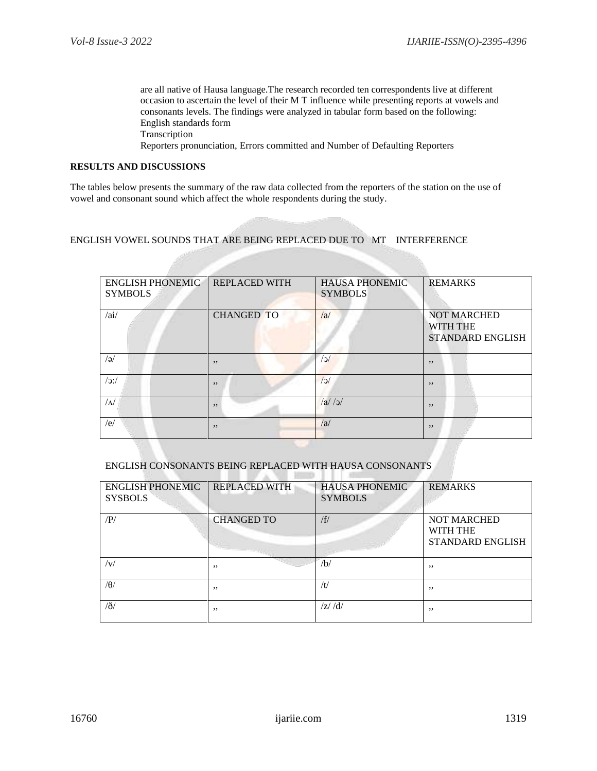are all native of Hausa language.The research recorded ten correspondents live at different occasion to ascertain the level of their M T influence while presenting reports at vowels and consonants levels. The findings were analyzed in tabular form based on the following: English standards form Transcription Reporters pronunciation, Errors committed and Number of Defaulting Reporters

## **RESULTS AND DISCUSSIONS**

The tables below presents the summary of the raw data collected from the reporters of the station on the use of vowel and consonant sound which affect the whole respondents during the study.

### ENGLISH VOWEL SOUNDS THAT ARE BEING REPLACED DUE TO MT INTERFERENCE

| <b>ENGLISH PHONEMIC</b><br><b>SYMBOLS</b> | <b>REPLACED WITH</b> | <b>HAUSA PHONEMIC</b><br><b>SYMBOLS</b> | <b>REMARKS</b>                                                   |
|-------------------------------------------|----------------------|-----------------------------------------|------------------------------------------------------------------|
| /ai/                                      | <b>CHANGED TO</b>    | /a                                      | <b>NOT MARCHED</b><br><b>WITH THE</b><br><b>STANDARD ENGLISH</b> |
| $\sqrt{e}$                                | , ,                  | c                                       | , ,                                                              |
| $/$ :/                                    | , ,                  | <sub>2</sub>                            | , ,                                                              |
| $\sqrt{\Delta}$                           | , ,                  | a /a                                    | , ,                                                              |
| /e/                                       | , ,                  | /a                                      | , ,                                                              |

#### ENGLISH CONSONANTS BEING REPLACED WITH HAUSA CONSONANTS m

| <b>ENGLISH PHONEMIC</b><br><b>SYSBOLS</b> | <b>REPLACED WITH</b> | <b>HAUSA PHONEMIC</b><br><b>SYMBOLS</b> | <b>REMARKS</b>                                            |
|-------------------------------------------|----------------------|-----------------------------------------|-----------------------------------------------------------|
| /P/                                       | <b>CHANGED TO</b>    | /f/                                     | <b>NOT MARCHED</b><br>WITH THE<br><b>STANDARD ENGLISH</b> |
| v                                         | ,,                   | /b/                                     | , ,                                                       |
| $/\theta/$                                | ,,                   | /t/                                     | , ,                                                       |
| $\partial$                                | ,,                   | $\frac{z}{d}$                           | , ,                                                       |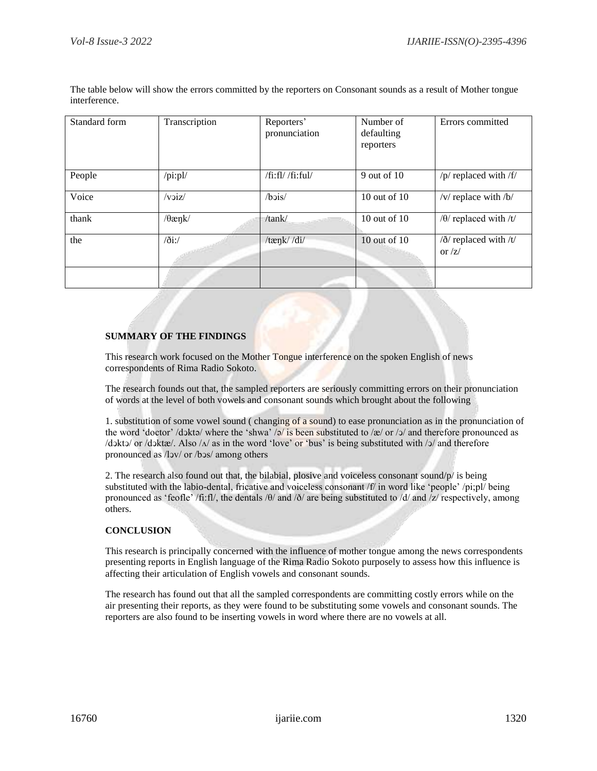| Standard form | Transcription                   | Reporters'<br>pronunciation | Number of<br>defaulting<br>reporters | Errors committed                                              |
|---------------|---------------------------------|-----------------------------|--------------------------------------|---------------------------------------------------------------|
| People        | $\pi$ i:pl/                     | /fi:fl//fi:ful/             | $9$ out of $10$                      | /p/ replaced with /f/                                         |
| Voice         | /voiz/                          | $/b$ $vis/$                 | 10 out of 10                         | /v/ replace with $/b/$                                        |
| thank         | $\theta$ ænk/                   | /tank/                      | 10 out of 10                         | $/ \theta$ / replaced with /t/                                |
| the           | $\frac{\partial i}{\partial x}$ | /tænk//di/                  | 10 out of $10$                       | $\frac{\delta}{\delta}$ replaced with /t/<br>or $\frac{z}{z}$ |
|               |                                 |                             |                                      |                                                               |

The table below will show the errors committed by the reporters on Consonant sounds as a result of Mother tongue interference.

### **SUMMARY OF THE FINDINGS**

This research work focused on the Mother Tongue interference on the spoken English of news correspondents of Rima Radio Sokoto.

The research founds out that, the sampled reporters are seriously committing errors on their pronunciation of words at the level of both vowels and consonant sounds which brought about the following

1. substitution of some vowel sound ( changing of a sound) to ease pronunciation as in the pronunciation of the word 'doctor' /dɔktə/ where the 'shwa' /ə/ is been substituted to /æ/ or /ɔ/ and therefore pronounced as  $/d$ oktɔ/ or /dɔktæ/. Also / $\Lambda$ / as in the word 'love' or 'bus' is being substituted with /ɔ/ and therefore pronounced as /lͻv/ or /bͻs/ among others

2. The research also found out that, the bilabial, plosive and voiceless consonant sound/p/ is being substituted with the labio-dental, fricative and voiceless consonant /f/ in word like 'people' /pi;pl/ being pronounced as 'feofle' /fi:fl/, the dentals /θ/ and /ð/ are being substituted to /d/ and /z/ respectively, among others.

#### **CONCLUSION**

This research is principally concerned with the influence of mother tongue among the news correspondents presenting reports in English language of the Rima Radio Sokoto purposely to assess how this influence is affecting their articulation of English vowels and consonant sounds.

The research has found out that all the sampled correspondents are committing costly errors while on the air presenting their reports, as they were found to be substituting some vowels and consonant sounds. The reporters are also found to be inserting vowels in word where there are no vowels at all.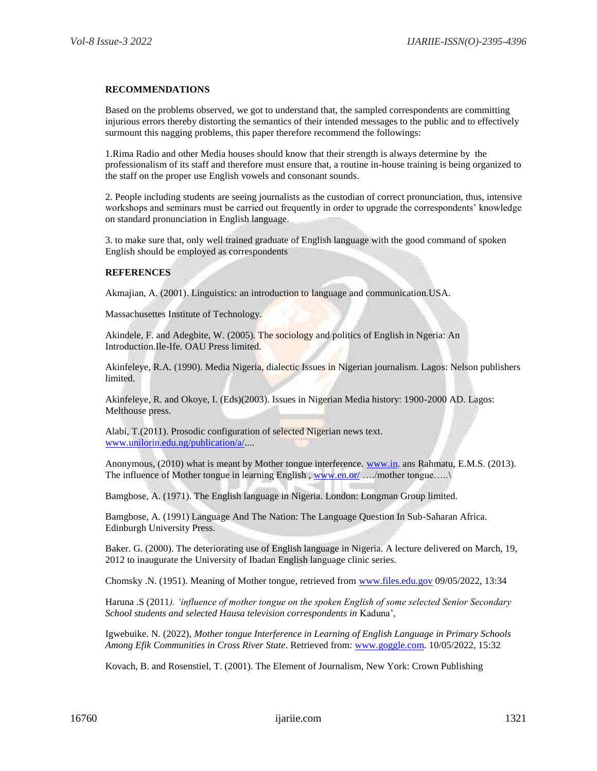#### **RECOMMENDATIONS**

Based on the problems observed, we got to understand that, the sampled correspondents are committing injurious errors thereby distorting the semantics of their intended messages to the public and to effectively surmount this nagging problems, this paper therefore recommend the followings:

1.Rima Radio and other Media houses should know that their strength is always determine by the professionalism of its staff and therefore must ensure that, a routine in-house training is being organized to the staff on the proper use English vowels and consonant sounds.

2. People including students are seeing journalists as the custodian of correct pronunciation, thus, intensive workshops and seminars must be carried out frequently in order to upgrade the correspondents' knowledge on standard pronunciation in English language.

3. to make sure that, only well trained graduate of English language with the good command of spoken English should be employed as correspondents

#### **REFERENCES**

Akmajian, A. (2001). Linguistics: an introduction to language and communication.USA.

Massachusettes Institute of Technology.

Akindele, F. and Adegbite, W. (2005). The sociology and politics of English in Ngeria: An Introduction.Ile-Ife. OAU Press limited.

Akinfeleye, R.A. (1990). Media Nigeria, dialectic Issues in Nigerian journalism. Lagos: Nelson publishers limited.

Akinfeleye, R. and Okoye, I. (Eds)(2003). Issues in Nigerian Media history: 1900-2000 AD. Lagos: Melthouse press.

Alabi, T.(2011). Prosodic configuration of selected Nigerian news text. [www.unilorin.edu.ng/publication/a/.](http://www.unilorin.edu.ng/publication/a/)...

Anonymous, (2010) what is meant by Mother tongue interference. [www.in.](http://www.in/) ans Rahmatu, E.M.S. (2013). The influence of Mother tongue in learning English, [www.en.or/](http://www.en.or/) ..../mother tongue.....

Bamgbose, A. (1971). The English language in Nigeria. London: Longman Group limited.

Bamgbose, A. (1991) Language And The Nation: The Language Question In Sub-Saharan Africa. Edinburgh University Press.

Baker. G. (2000). The deteriorating use of English language in Nigeria. A lecture delivered on March, 19, 2012 to inaugurate the University of Ibadan English language clinic series.

Chomsky .N. (1951). Meaning of Mother tongue, retrieved from [www.files.edu.gov](http://www.files.edu.gov/) 09/05/2022, 13:34

Haruna .S (2011*). 'influence of mother tongue on the spoken English of some selected Senior Secondary School students and selected Hausa television correspondents in* Kaduna',

Igwebuike. N. (2022), *Mother tongue Interference in Learning of English Language in Primary Schools Among Efik Communities in Cross River State*. Retrieved from: [www.goggle.com.](http://www.goggle.com/) 10/05/2022, 15:32

Kovach, B. and Rosenstiel, T. (2001). The Element of Journalism, New York: Crown Publishing